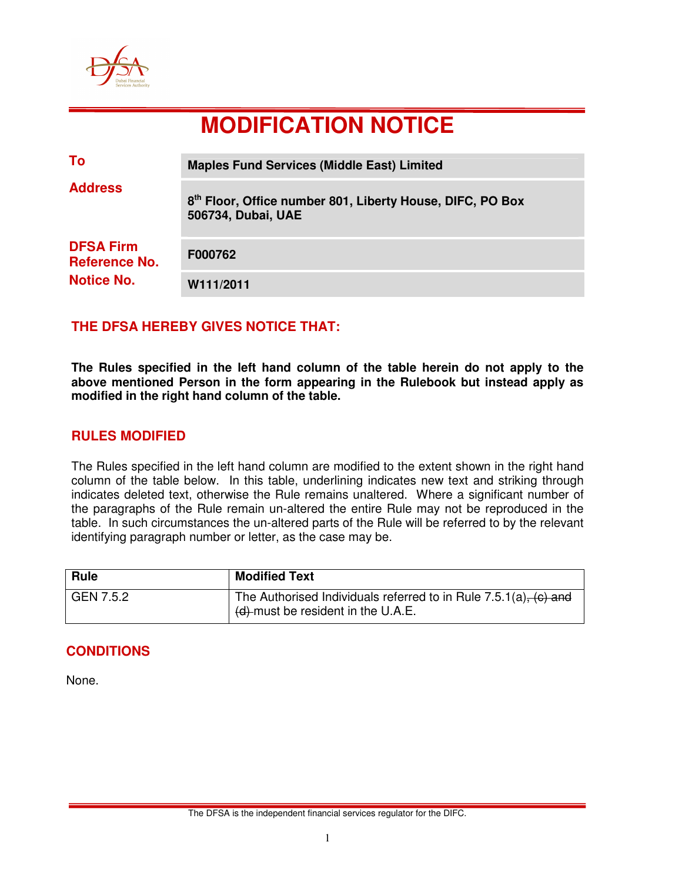

# **MODIFICATION NOTICE**

| To                                                            | <b>Maples Fund Services (Middle East) Limited</b>                                           |
|---------------------------------------------------------------|---------------------------------------------------------------------------------------------|
| <b>Address</b>                                                | 8 <sup>th</sup> Floor, Office number 801, Liberty House, DIFC, PO Box<br>506734, Dubai, UAE |
| <b>DFSA Firm</b><br><b>Reference No.</b><br><b>Notice No.</b> | F000762                                                                                     |
|                                                               | W111/2011                                                                                   |

## **THE DFSA HEREBY GIVES NOTICE THAT:**

**The Rules specified in the left hand column of the table herein do not apply to the above mentioned Person in the form appearing in the Rulebook but instead apply as modified in the right hand column of the table.** 

## **RULES MODIFIED**

The Rules specified in the left hand column are modified to the extent shown in the right hand column of the table below. In this table, underlining indicates new text and striking through indicates deleted text, otherwise the Rule remains unaltered. Where a significant number of the paragraphs of the Rule remain un-altered the entire Rule may not be reproduced in the table. In such circumstances the un-altered parts of the Rule will be referred to by the relevant identifying paragraph number or letter, as the case may be.

| <b>Rule</b> | <b>Modified Text</b>                                                                                      |
|-------------|-----------------------------------------------------------------------------------------------------------|
| GEN 7.5.2   | The Authorised Individuals referred to in Rule $7.5.1(a)$ , (c) and<br>(d)-must be resident in the U.A.E. |

# **CONDITIONS**

None.